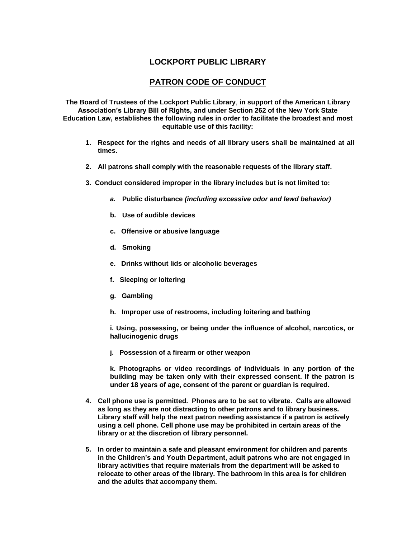## **LOCKPORT PUBLIC LIBRARY**

## **PATRON CODE OF CONDUCT**

**The Board of Trustees of the Lockport Public Library**, **in support of the American Library Association's Library Bill of Rights, and under Section 262 of the New York State Education Law, establishes the following rules in order to facilitate the broadest and most equitable use of this facility:**

- **1. Respect for the rights and needs of all library users shall be maintained at all times.**
- **2. All patrons shall comply with the reasonable requests of the library staff.**
- **3. Conduct considered improper in the library includes but is not limited to:**
	- *a.* **Public disturbance** *(including excessive odor and lewd behavior)*
	- **b. Use of audible devices**
	- **c. Offensive or abusive language**
	- **d. Smoking**
	- **e. Drinks without lids or alcoholic beverages**
	- **f. Sleeping or loitering**
	- **g. Gambling**
	- **h. Improper use of restrooms, including loitering and bathing**

**i. Using, possessing, or being under the influence of alcohol, narcotics, or hallucinogenic drugs**

**j. Possession of a firearm or other weapon**

**k. Photographs or video recordings of individuals in any portion of the building may be taken only with their expressed consent. If the patron is under 18 years of age, consent of the parent or guardian is required.**

- **4. Cell phone use is permitted. Phones are to be set to vibrate. Calls are allowed as long as they are not distracting to other patrons and to library business. Library staff will help the next patron needing assistance if a patron is actively using a cell phone. Cell phone use may be prohibited in certain areas of the library or at the discretion of library personnel.**
- **5. In order to maintain a safe and pleasant environment for children and parents in the Children's and Youth Department, adult patrons who are not engaged in library activities that require materials from the department will be asked to relocate to other areas of the library. The bathroom in this area is for children and the adults that accompany them.**